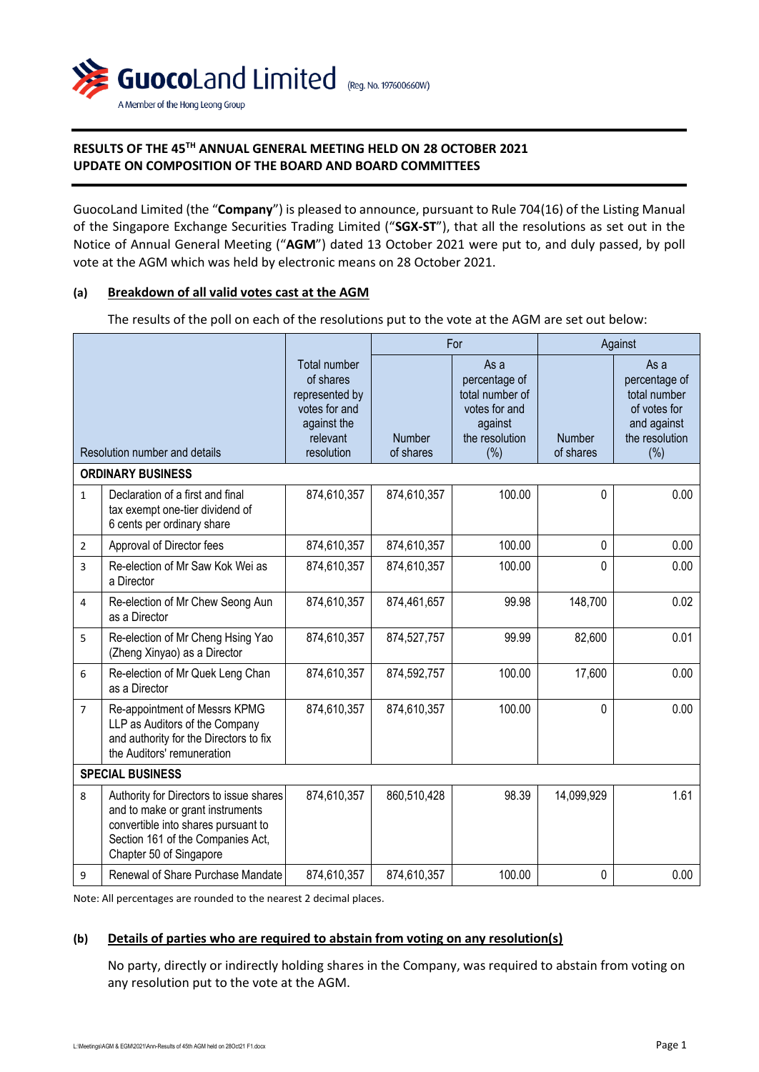

# **RESULTS OF THE 45TH ANNUAL GENERAL MEETING HELD ON 28 OCTOBER 2021 UPDATE ON COMPOSITION OF THE BOARD AND BOARD COMMITTEES**

GuocoLand Limited (the "**Company**") is pleased to announce, pursuant to Rule 704(16) of the Listing Manual of the Singapore Exchange Securities Trading Limited ("**SGX-ST**"), that all the resolutions as set out in the Notice of Annual General Meeting ("**AGM**") dated 13 October 2021 were put to, and duly passed, by poll vote at the AGM which was held by electronic means on 28 October 2021.

#### **(a) Breakdown of all valid votes cast at the AGM**

The results of the poll on each of the resolutions put to the vote at the AGM are set out below:

|                |                                                                                                                                                                                    |                                                                                                       | For                        |                                                                                                  | Against                    |                                                                                               |
|----------------|------------------------------------------------------------------------------------------------------------------------------------------------------------------------------------|-------------------------------------------------------------------------------------------------------|----------------------------|--------------------------------------------------------------------------------------------------|----------------------------|-----------------------------------------------------------------------------------------------|
|                | Resolution number and details                                                                                                                                                      | Total number<br>of shares<br>represented by<br>votes for and<br>against the<br>relevant<br>resolution | <b>Number</b><br>of shares | As a<br>percentage of<br>total number of<br>votes for and<br>against<br>the resolution<br>$(\%)$ | <b>Number</b><br>of shares | As a<br>percentage of<br>total number<br>of votes for<br>and against<br>the resolution<br>(%) |
|                | <b>ORDINARY BUSINESS</b>                                                                                                                                                           |                                                                                                       |                            |                                                                                                  |                            |                                                                                               |
| $\mathbf{1}$   | Declaration of a first and final<br>tax exempt one-tier dividend of<br>6 cents per ordinary share                                                                                  | 874,610,357                                                                                           | 874,610,357                | 100.00                                                                                           | 0                          | 0.00                                                                                          |
| $\overline{2}$ | Approval of Director fees                                                                                                                                                          | 874,610,357                                                                                           | 874,610,357                | 100.00                                                                                           | 0                          | 0.00                                                                                          |
| 3              | Re-election of Mr Saw Kok Wei as<br>a Director                                                                                                                                     | 874,610,357                                                                                           | 874,610,357                | 100.00                                                                                           | 0                          | 0.00                                                                                          |
| $\overline{4}$ | Re-election of Mr Chew Seong Aun<br>as a Director                                                                                                                                  | 874,610,357                                                                                           | 874,461,657                | 99.98                                                                                            | 148,700                    | 0.02                                                                                          |
| 5              | Re-election of Mr Cheng Hsing Yao<br>(Zheng Xinyao) as a Director                                                                                                                  | 874,610,357                                                                                           | 874,527,757                | 99.99                                                                                            | 82,600                     | 0.01                                                                                          |
| 6              | Re-election of Mr Quek Leng Chan<br>as a Director                                                                                                                                  | 874,610,357                                                                                           | 874,592,757                | 100.00                                                                                           | 17,600                     | 0.00                                                                                          |
| $\overline{7}$ | Re-appointment of Messrs KPMG<br>LLP as Auditors of the Company<br>and authority for the Directors to fix<br>the Auditors' remuneration                                            | 874,610,357                                                                                           | 874,610,357                | 100.00                                                                                           | 0                          | 0.00                                                                                          |
|                | <b>SPECIAL BUSINESS</b>                                                                                                                                                            |                                                                                                       |                            |                                                                                                  |                            |                                                                                               |
| 8              | Authority for Directors to issue shares<br>and to make or grant instruments<br>convertible into shares pursuant to<br>Section 161 of the Companies Act,<br>Chapter 50 of Singapore | 874,610,357                                                                                           | 860,510,428                | 98.39                                                                                            | 14,099,929                 | 1.61                                                                                          |
| 9              | Renewal of Share Purchase Mandate                                                                                                                                                  | 874,610,357                                                                                           | 874,610,357                | 100.00                                                                                           | 0                          | 0.00                                                                                          |

Note: All percentages are rounded to the nearest 2 decimal places.

## **(b) Details of parties who are required to abstain from voting on any resolution(s)**

No party, directly or indirectly holding shares in the Company, was required to abstain from voting on any resolution put to the vote at the AGM.